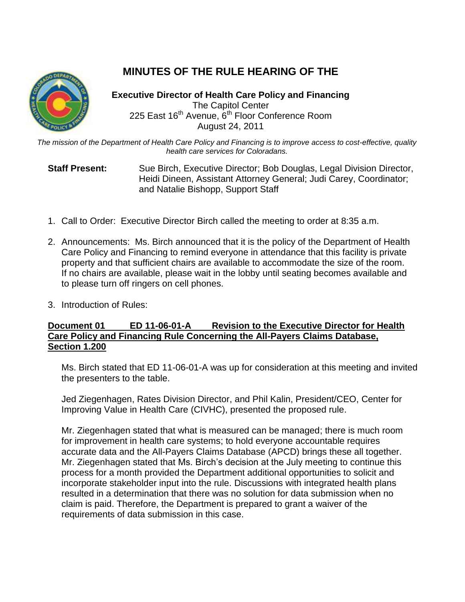# **MINUTES OF THE RULE HEARING OF THE**

**Executive Director of Health Care Policy and Financing** The Capitol Center 225 East 16<sup>th</sup> Avenue, 6<sup>th</sup> Floor Conference Room August 24, 2011

*The mission of the Department of Health Care Policy and Financing is to improve access to cost-effective, quality health care services for Coloradans.*

**Staff Present:** Sue Birch, Executive Director; Bob Douglas, Legal Division Director, Heidi Dineen, Assistant Attorney General; Judi Carey, Coordinator; and Natalie Bishopp, Support Staff

- 1. Call to Order: Executive Director Birch called the meeting to order at 8:35 a.m.
- 2. Announcements: Ms. Birch announced that it is the policy of the Department of Health Care Policy and Financing to remind everyone in attendance that this facility is private property and that sufficient chairs are available to accommodate the size of the room. If no chairs are available, please wait in the lobby until seating becomes available and to please turn off ringers on cell phones.
- 3. Introduction of Rules:

# **Document 01 ED 11-06-01-A Revision to the Executive Director for Health Care Policy and Financing Rule Concerning the All-Payers Claims Database, Section 1.200**

Ms. Birch stated that ED 11-06-01-A was up for consideration at this meeting and invited the presenters to the table.

Jed Ziegenhagen, Rates Division Director, and Phil Kalin, President/CEO, Center for Improving Value in Health Care (CIVHC), presented the proposed rule.

Mr. Ziegenhagen stated that what is measured can be managed; there is much room for improvement in health care systems; to hold everyone accountable requires accurate data and the All-Payers Claims Database (APCD) brings these all together. Mr. Ziegenhagen stated that Ms. Birch's decision at the July meeting to continue this process for a month provided the Department additional opportunities to solicit and incorporate stakeholder input into the rule. Discussions with integrated health plans resulted in a determination that there was no solution for data submission when no claim is paid. Therefore, the Department is prepared to grant a waiver of the requirements of data submission in this case.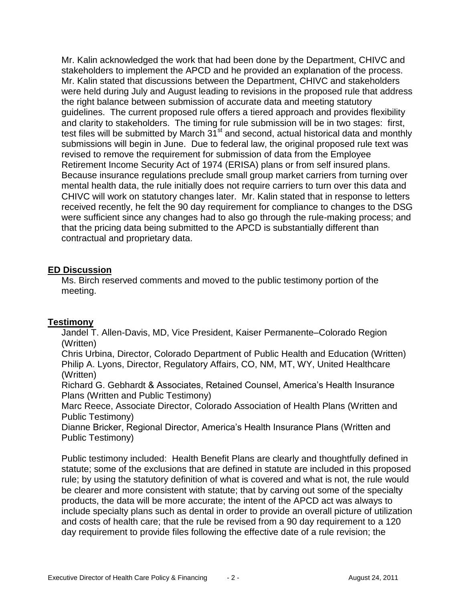Mr. Kalin acknowledged the work that had been done by the Department, CHIVC and stakeholders to implement the APCD and he provided an explanation of the process. Mr. Kalin stated that discussions between the Department, CHIVC and stakeholders were held during July and August leading to revisions in the proposed rule that address the right balance between submission of accurate data and meeting statutory guidelines. The current proposed rule offers a tiered approach and provides flexibility and clarity to stakeholders. The timing for rule submission will be in two stages: first, test files will be submitted by March  $31<sup>st</sup>$  and second, actual historical data and monthly submissions will begin in June. Due to federal law, the original proposed rule text was revised to remove the requirement for submission of data from the Employee Retirement Income Security Act of 1974 (ERISA) plans or from self insured plans. Because insurance regulations preclude small group market carriers from turning over mental health data, the rule initially does not require carriers to turn over this data and CHIVC will work on statutory changes later. Mr. Kalin stated that in response to letters received recently, he felt the 90 day requirement for compliance to changes to the DSG were sufficient since any changes had to also go through the rule-making process; and that the pricing data being submitted to the APCD is substantially different than contractual and proprietary data.

## **ED Discussion**

Ms. Birch reserved comments and moved to the public testimony portion of the meeting.

## **Testimony**

Jandel T. Allen-Davis, MD, Vice President, Kaiser Permanente–Colorado Region (Written)

Chris Urbina, Director, Colorado Department of Public Health and Education (Written) Philip A. Lyons, Director, Regulatory Affairs, CO, NM, MT, WY, United Healthcare (Written)

Richard G. Gebhardt & Associates, Retained Counsel, America's Health Insurance Plans (Written and Public Testimony)

Marc Reece, Associate Director, Colorado Association of Health Plans (Written and Public Testimony)

Dianne Bricker, Regional Director, America's Health Insurance Plans (Written and Public Testimony)

Public testimony included: Health Benefit Plans are clearly and thoughtfully defined in statute; some of the exclusions that are defined in statute are included in this proposed rule; by using the statutory definition of what is covered and what is not, the rule would be clearer and more consistent with statute; that by carving out some of the specialty products, the data will be more accurate; the intent of the APCD act was always to include specialty plans such as dental in order to provide an overall picture of utilization and costs of health care; that the rule be revised from a 90 day requirement to a 120 day requirement to provide files following the effective date of a rule revision; the